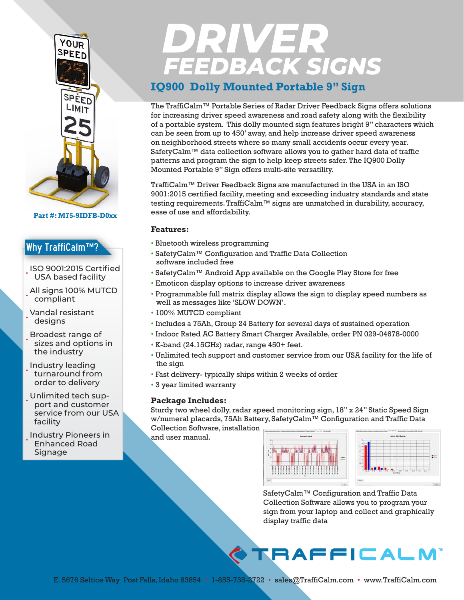

**Part #: M75-9IDFB-D0xx**

#### Why TraffiCalm™?

- ISO 9001:2015 Certified USA based facility
- All signs 100% MUTCD compliant
- Vandal resistant designs
- Broadest range of sizes and options in the industry
- Industry leading turnaround from order to delivery
- Unlimited tech support and customer service from our USA facility
- Industry Pioneers in Enhanced Road Signage

# **DRIVER**<br>FEEDBACK SIGNS

## **IQ900 Dolly Mounted Portable 9" Sign**

The TraffiCalm™ Portable Series of Radar Driver Feedback Signs offers solutions for increasing driver speed awareness and road safety along with the flexibility of a portable system. This dolly mounted sign features bright 9" characters which can be seen from up to 450' away, and help increase driver speed awareness on neighborhood streets where so many small accidents occur every year. SafetyCalm™ data collection software allows you to gather hard data of traffic patterns and program the sign to help keep streets safer. The IQ900 Dolly Mounted Portable 9" Sign offers multi-site versatility.

TraffiCalm™ Driver Feedback Signs are manufactured in the USA in an ISO 9001:2015 certified facility, meeting and exceeding industry standards and state testing requirements. TraffiCalm™ signs are unmatched in durability, accuracy, ease of use and affordability.

#### **Features:**

- Bluetooth wireless programming
- SafetyCalm™ Configuration and Traffic Data Collection software included free
- SafetyCalm™ Android App available on the Google Play Store for free
- Emoticon display options to increase driver awareness
- Programmable full matrix display allows the sign to display speed numbers as well as messages like 'SLOW DOWN'.
- 100% MUTCD compliant
- Includes a 75Ah, Group 24 Battery for several days of sustained operation
- Indoor Rated AC Battery Smart Charger Available, order PN 029-04678-0000
- K-band (24.15GHz) radar, range 450+ feet.
- Unlimited tech support and customer service from our USA facility for the life of the sign
- Fast delivery- typically ships within 2 weeks of order
- 3 year limited warranty

#### **Package Includes:**

Sturdy two wheel dolly, radar speed monitoring sign, 18" x 24" Static Speed Sign w/numeral placards, 75Ah Battery, SafetyCalm™ Configuration and Traffic Data

Collection Software, installation and user manual.





SafetyCalm™ Configuration and Traffic Data Collection Software allows you to program your sign from your laptop and collect and graphically display traffic data

# **TRAFFICALM**